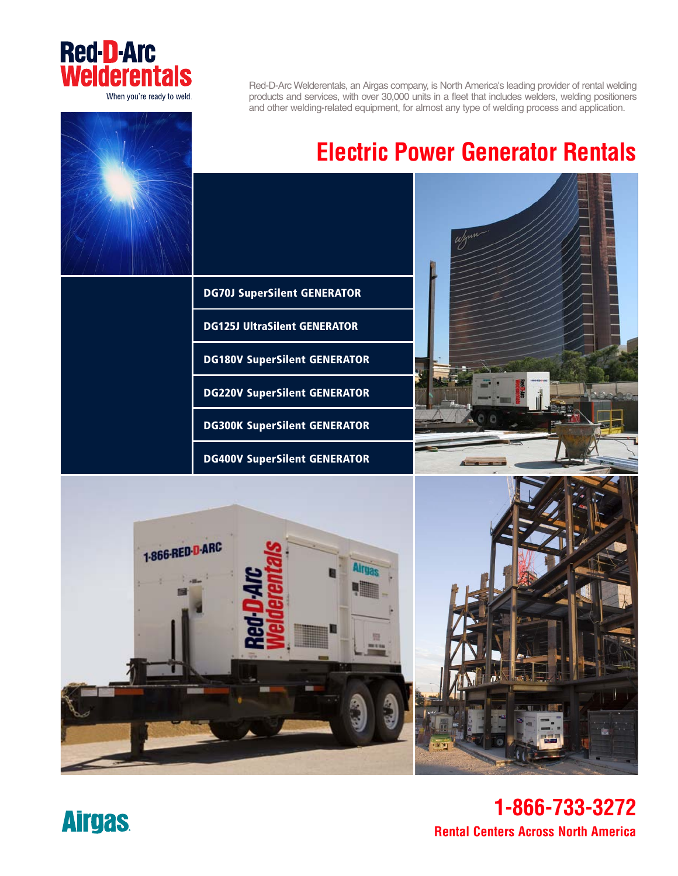

Red-D-Arc Welderentals, an Airgas company, is North America's leading provider of rental welding products and services, with over 30,000 units in a fleet that includes welders, welding positioners and other welding-related equipment, for almost any type of welding process and application.

## **Electric Power Generator Rentals**

**DG70J SuperSilent GENERATOR**

**DG125J UltraSilent GENERATOR**

**DG180V SuperSilent GENERATOR**

**DG220V SuperSilent GENERATOR**

**DG300K SuperSilent GENERATOR**

**DG400V SuperSilent GENERATOR**

**1-866-RED-D-ARC** 



**Rental Centers Across North America 1-866-733-3272**